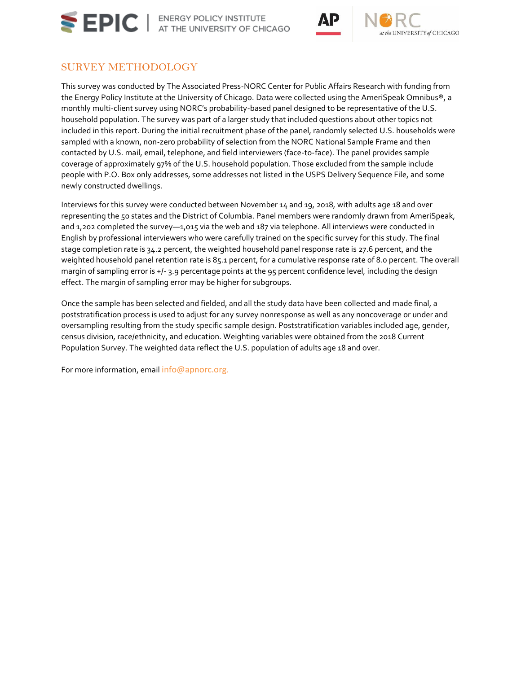





## SURVEY METHODOLOGY

This survey was conducted by The Associated Press-NORC Center for Public Affairs Research with funding from the Energy Policy Institute at the University of Chicago. Data were collected using the AmeriSpeak Omnibus®, a monthly multi-client survey using NORC's probability-based panel designed to be representative of the U.S. household population. The survey was part of a larger study that included questions about other topics not included in this report. During the initial recruitment phase of the panel, randomly selected U.S. households were sampled with a known, non-zero probability of selection from the NORC National Sample Frame and then contacted by U.S. mail, email, telephone, and field interviewers (face-to-face). The panel provides sample coverage of approximately 97% of the U.S. household population. Those excluded from the sample include people with P.O. Box only addresses, some addresses not listed in the USPS Delivery Sequence File, and some newly constructed dwellings.

Interviews for this survey were conducted between November 14 and 19, 2018, with adults age 18 and over representing the 50 states and the District of Columbia. Panel members were randomly drawn from AmeriSpeak, and 1,202 completed the survey—1,015 via the web and 187 via telephone. All interviews were conducted in English by professional interviewers who were carefully trained on the specific survey for this study. The final stage completion rate is 34.2 percent, the weighted household panel response rate is 27.6 percent, and the weighted household panel retention rate is 85.1 percent, for a cumulative response rate of 8.0 percent. The overall margin of sampling error is +/- 3.9 percentage points at the 95 percent confidence level, including the design effect. The margin of sampling error may be higher for subgroups.

Once the sample has been selected and fielded, and all the study data have been collected and made final, a poststratification process is used to adjust for any survey nonresponse as well as any noncoverage or under and oversampling resulting from the study specific sample design. Poststratification variables included age, gender, census division, race/ethnicity, and education. Weighting variables were obtained from the 2018 Current Population Survey. The weighted data reflect the U.S. population of adults age 18 and over.

For more information, email [info@apnorc.org](mailto:info@apnorc.org).